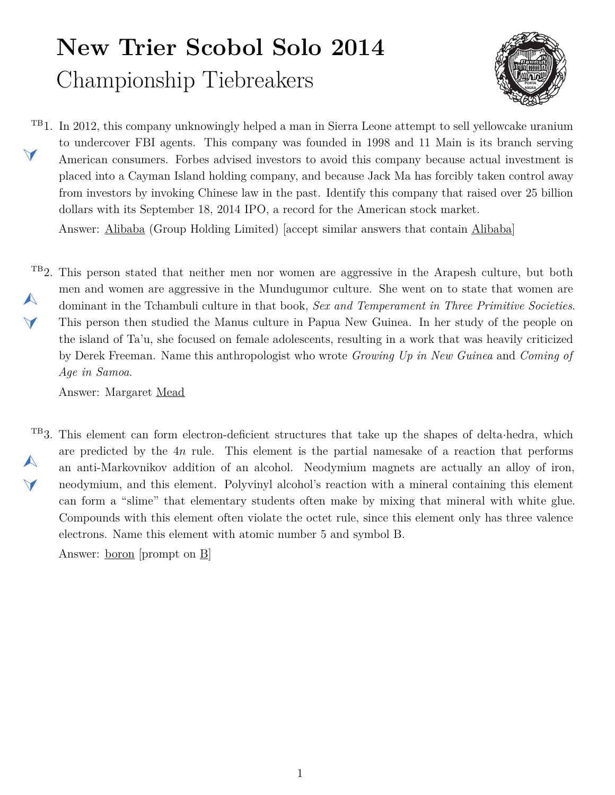## **New Trier Scobol Solo 2014** Championship Tiebreakers



<span id="page-0-1"></span><sup>TB</sup>1. In 2012, this company unknowingly helped a man in Sierra Leone attempt to sell yellowcake uranium  $\blacktriangleleft$ to undercover FBI agents. This company was founded in 1998 and 11 Main is its branch serving American consumers. Forbes advised investors to avoid this company because actual investment is placed into a Cayman Island holding company, and because Jack Ma has forcibly taken control away from investors by invoking Chinese law in the past. Identify this company that raised over 25 billion dollars with its September 18, 2014 IPO, a record for the American stock market.

Answer: Alibaba (Group Holding Limited) [accept similar answers that contain Alibaba]

<span id="page-0-0"></span><sup>TB</sup>2. This person stated that neither men nor women are aggressive in the Arapesh culture, but both  $\blacktriangle$  $\blacktriangledown$ men and women are aggressive in the Mundugumor culture. She went on to state that women are dominant in the Tchambuli culture in that book, *Sex and Temperament in Three Primitive Societies*. This person then studied the Manus culture in Papua New Guinea. In her study of the people on the island of Ta'u, she focused on female adolescents, resulting in a work that was heavily criticized by Derek Freeman. Name this anthropologist who wrote *Growing Up in New Guinea* and *Coming of Age in Samoa*.

Answer: Margaret Mead

<span id="page-0-2"></span>TB3. This element can form electron-deficient structures that take up the shapes of delta*·*hedra, which  $\blacktriangle$  $\vee$ are predicted by the 4*n* rule. This element is the partial namesake of a reaction that performs an anti-Markovnikov addition of an alcohol. Neodymium magnets are actually an alloy of iron, neodymium, and this element. Polyvinyl alcohol's reaction with a mineral containing this element can form a "slime" that elementary students often make by mixing that mineral with white glue. Compounds with this element often violate the octet rule, since this element only has three valence electrons. Name this element with atomic number 5 and symbol B.

Answer: boron [prompt on B]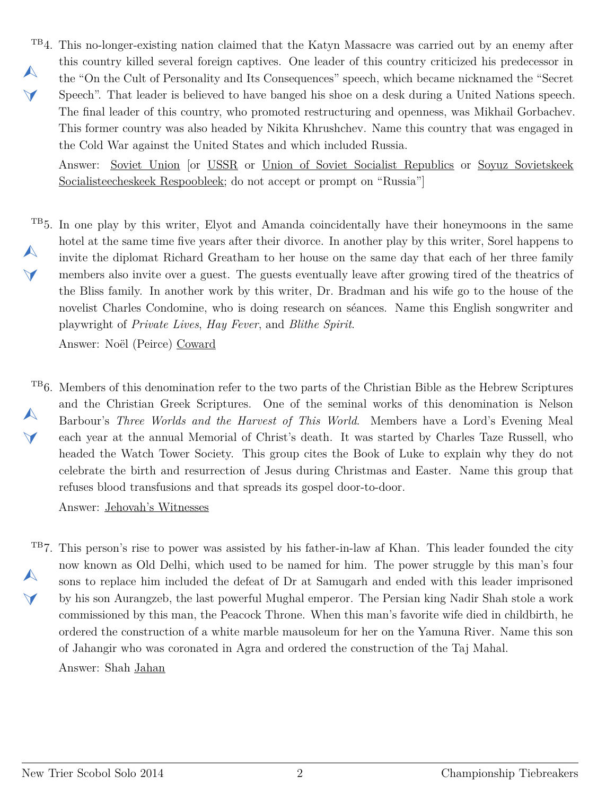<span id="page-1-0"></span>TB4. This no-longer-existing nation claimed that the Katyn Massacre was carried out by an enemy after  $\blacktriangle$  $\blacktriangledown$ this country killed several foreign captives. One leader of this country criticized his predecessor in the "On the Cult of Personality and Its Consequences" speech, which became nicknamed the "Secret Speech". That leader is believed to have banged his shoe on a desk during a United Nations speech. The final leader of this country, who promoted restructuring and openness, was Mikhail Gorbachev. This former country was also headed by Nikita Khrushchev. Name this country that was engaged in the Cold War against the United States and which included Russia.

Answer: Soviet Union [or USSR or Union of Soviet Socialist Republics or Soyuz Sovietskeek Socialisteecheskeek Respoobleek; do not accept or prompt on "Russia"]

<span id="page-1-1"></span><sup>TB</sup>5. In one play by this writer, Elyot and Amanda coincidentally have their honeymoons in the same  $\blacktriangle$  $\blacktriangle$ hotel at the same time five years after their divorce. In another play by this writer, Sorel happens to invite the diplomat Richard Greatham to her house on the same day that each of her three family members also invite over a guest. The guests eventually leave after growing tired of the theatrics of the Bliss family. In another work by this writer, Dr. Bradman and his wife go to the house of the novelist Charles Condomine, who is doing research on séances. Name this English songwriter and playwright of *Private Lives*, *Hay Fever*, and *Blithe Spirit*.

Answer: Noël (Peirce) Coward

<span id="page-1-2"></span>TB6. Members of this denomination refer to the two parts of the Christian Bible as the Hebrew Scriptures  $\blacktriangle$  $\blacktriangledown$ and the Christian Greek Scriptures. One of the seminal works of this denomination is Nelson Barbour's *Three Worlds and the Harvest of This World*. Members have a Lord's Evening Meal each year at the annual Memorial of Christ's death. It was started by Charles Taze Russell, who headed the Watch Tower Society. This group cites the Book of Luke to explain why they do not celebrate the birth and resurrection of Jesus during Christmas and Easter. Name this group that refuses blood transfusions and that spreads its gospel door-to-door.

Answer: Jehovah's Witnesses

<span id="page-1-3"></span><sup>TB</sup>7. This person's rise to power was assisted by his father-in-law af Khan. This leader founded the city  $\blacktriangle$  $\blacktriangledown$ now known as Old Delhi, which used to be named for him. The power struggle by this man's four sons to replace him included the defeat of Dr at Samugarh and ended with this leader imprisoned by his son Aurangzeb, the last powerful Mughal emperor. The Persian king Nadir Shah stole a work commissioned by this man, the Peacock Throne. When this man's favorite wife died in childbirth, he ordered the construction of a white marble mausoleum for her on the Yamuna River. Name this son of Jahangir who was coronated in Agra and ordered the construction of the Taj Mahal.

Answer: Shah Jahan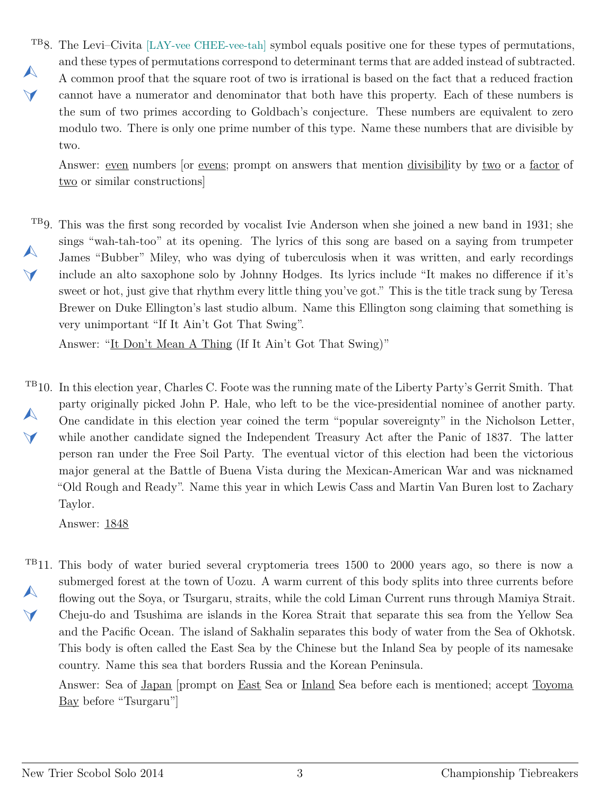<span id="page-2-0"></span>TB8. The Levi–Civita [LAY-vee CHEE-vee-tah] symbol equals positive one for these types of permutations,  $\blacktriangle$  $\blacktriangledown$ and these types of permutations correspond to determinant terms that are added instead of subtracted. A common proof that the square root of two is irrational is based on the fact that a reduced fraction cannot have a numerator and denominator that both have this property. Each of these numbers is the sum of two primes according to Goldbach's conjecture. These numbers are equivalent to zero modulo two. There is only one prime number of this type. Name these numbers that are divisible by two.

Answer: even numbers [or evens; prompt on answers that mention divisibility by two or a factor of two or similar constructions

<span id="page-2-1"></span>TB9. This was the first song recorded by vocalist Ivie Anderson when she joined a new band in 1931; she  $\blacktriangle$  $\blacktriangle$ sings "wah-tah-too" at its opening. The lyrics of this song are based on a saying from trumpeter James "Bubber" Miley, who was dying of tuberculosis when it was written, and early recordings include an alto saxophone solo by Johnny Hodges. Its lyrics include "It makes no difference if it's sweet or hot, just give that rhythm every little thing you've got." This is the title track sung by Teresa Brewer on Duke Ellington's last studio album. Name this Ellington song claiming that something is very unimportant "If It Ain't Got That Swing".

Answer: "It Don't Mean A Thing (If It Ain't Got That Swing)"

<span id="page-2-2"></span>TB10. In this election year, Charles C. Foote was the running mate of the Liberty Party's Gerrit Smith. That  $\blacktriangle$  $\vee$ party originally picked John P. Hale, who left to be the vice-presidential nominee of another party. One candidate in this election year coined the term "popular sovereignty" in the Nicholson Letter, while another candidate signed the Independent Treasury Act after the Panic of 1837. The latter person ran under the Free Soil Party. The eventual victor of this election had been the victorious major general at the Battle of Buena Vista during the Mexican-American War and was nicknamed "Old Rough and Ready". Name this year in which Lewis Cass and Martin Van Buren lost to Zachary Taylor.

Answer: 1848

<span id="page-2-3"></span><sup>TB</sup>11. This body of water buried several cryptomeria trees 1500 to 2000 years ago, so there is now a  $\blacktriangle$  $\blacktriangledown$ submerged forest at the town of Uozu. A warm current of this body splits into three currents before flowing out the Soya, or Tsurgaru, straits, while the cold Liman Current runs through Mamiya Strait. Cheju-do and Tsushima are islands in the Korea Strait that separate this sea from the Yellow Sea and the Pacific Ocean. The island of Sakhalin separates this body of water from the Sea of Okhotsk. This body is often called the East Sea by the Chinese but the Inland Sea by people of its namesake country. Name this sea that borders Russia and the Korean Peninsula.

Answer: Sea of Japan [prompt on East Sea or Inland Sea before each is mentioned; accept Toyoma Bay before "Tsurgaru"]